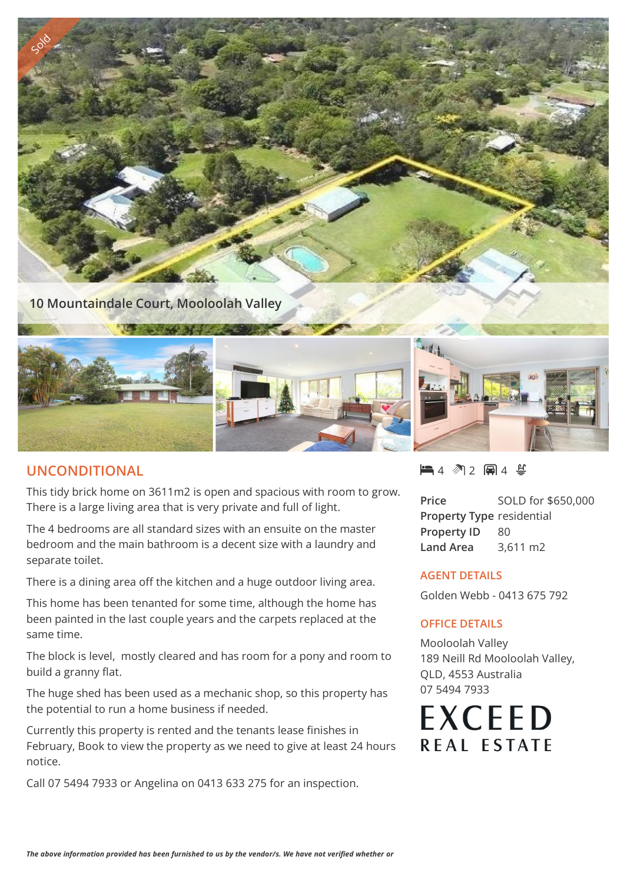



## **UNCONDITIONAL**

This tidy brick home on 3611m2 is open and spacious with room to grow. There is a large living area that is very private and full of light.

The 4 bedrooms are all standard sizes with an ensuite on the master bedroom and the main bathroom is a decent size with a laundry and separate toilet.

There is a dining area off the kitchen and a huge outdoor living area.

This home has been tenanted for some time, although the home has been painted in the last couple years and the carpets replaced at the same time.

The block is level, mostly cleared and has room for a pony and room to build a granny flat.

The huge shed has been used as a mechanic shop, so this property has the potential to run a home business if needed.

Currently this property is rented and the tenants lease finishes in February, Book to view the property as we need to give at least 24 hours notice.

Call 07 5494 7933 or Angelina on 0413 633 275 for an inspection.

4 2 4

**Price** SOLD for \$650,000 **Property Type** residential **Property ID** 80 **Land Area** 3,611 m2

## **AGENT DETAILS**

Golden Webb - 0413 675 792

## **OFFICE DETAILS**

Mooloolah Valley 189 Neill Rd Mooloolah Valley, QLD, 4553 Australia 07 5494 7933